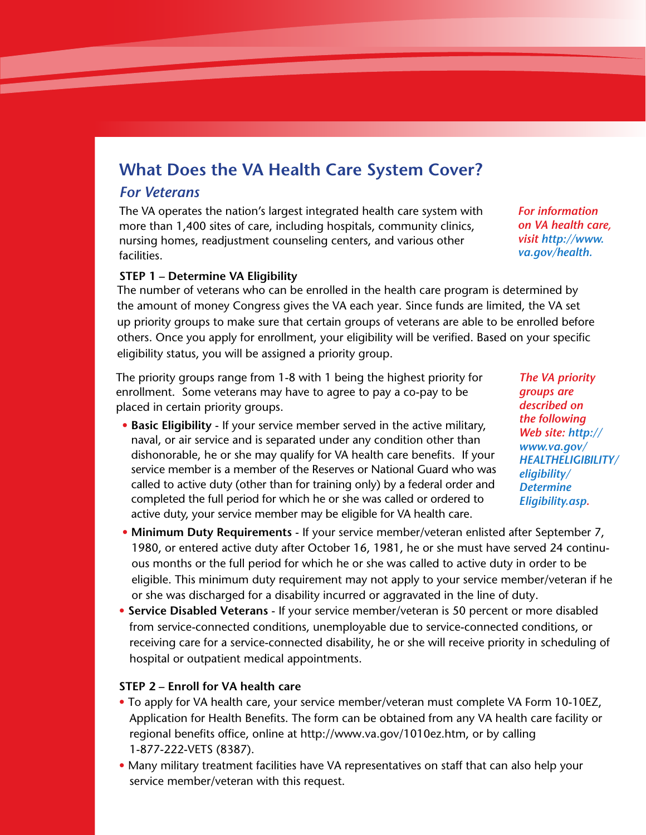# **What Does the VA Health Care System Cover?**

## *For Veterans*

The VA operates the nation's largest integrated health care system with more than 1,400 sites of care, including hospitals, community clinics, nursing homes, readjustment counseling centers, and various other facilities.

*For information on VA health care, visit http://www. va.gov/health.*

#### **STEP 1 – Determine VA Eligibility**

The number of veterans who can be enrolled in the health care program is determined by the amount of money Congress gives the VA each year. Since funds are limited, the VA set up priority groups to make sure that certain groups of veterans are able to be enrolled before others. Once you apply for enrollment, your eligibility will be verified. Based on your specific eligibility status, you will be assigned a priority group.

The priority groups range from 1-8 with 1 being the highest priority for enrollment. Some veterans may have to agree to pay a co-pay to be placed in certain priority groups.

• **Basic Eligibility** - If your service member served in the active military, naval, or air service and is separated under any condition other than dishonorable, he or she may qualify for VA health care benefits. If your service member is a member of the Reserves or National Guard who was called to active duty (other than for training only) by a federal order and completed the full period for which he or she was called or ordered to active duty, your service member may be eligible for VA health care.

*The VA priority groups are described on the following Web site: http:// www.va.gov/ HEALTHELIGIBILITY/ eligibility/ Determine Eligibility.asp.*

- **Minimum Duty Requirements** If your service member/veteran enlisted after September 7, 1980, or entered active duty after October 16, 1981, he or she must have served 24 continuous months or the full period for which he or she was called to active duty in order to be eligible. This minimum duty requirement may not apply to your service member/veteran if he or she was discharged for a disability incurred or aggravated in the line of duty.
- **Service Disabled Veterans** If your service member/veteran is 50 percent or more disabled from service-connected conditions, unemployable due to service-connected conditions, or receiving care for a service-connected disability, he or she will receive priority in scheduling of hospital or outpatient medical appointments.

#### **STEP 2 – Enroll for VA health care**

- To apply for VA health care, your service member/veteran must complete VA Form 10-10EZ, Application for Health Benefits. The form can be obtained from any VA health care facility or regional benefits office, online at http://www.va.gov/1010ez.htm, or by calling 1-877-222-VETS (8387).
- Many military treatment facilities have VA representatives on staff that can also help your service member/veteran with this request.